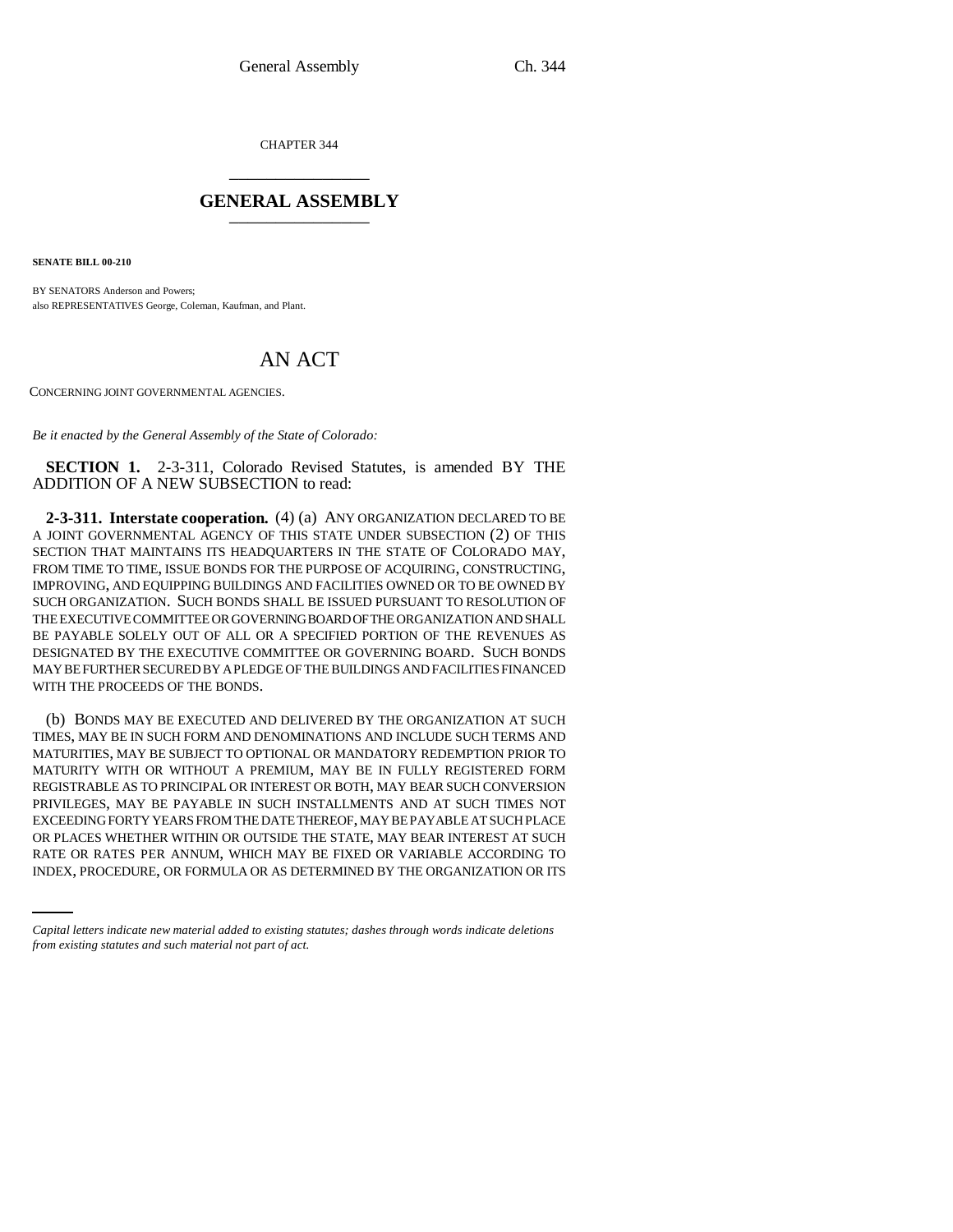CHAPTER 344 \_\_\_\_\_\_\_\_\_\_\_\_\_\_\_

## **GENERAL ASSEMBLY** \_\_\_\_\_\_\_\_\_\_\_\_\_\_\_

**SENATE BILL 00-210** 

BY SENATORS Anderson and Powers; also REPRESENTATIVES George, Coleman, Kaufman, and Plant.

## AN ACT

CONCERNING JOINT GOVERNMENTAL AGENCIES.

*Be it enacted by the General Assembly of the State of Colorado:*

**SECTION 1.** 2-3-311, Colorado Revised Statutes, is amended BY THE ADDITION OF A NEW SUBSECTION to read:

**2-3-311. Interstate cooperation.** (4) (a) ANY ORGANIZATION DECLARED TO BE A JOINT GOVERNMENTAL AGENCY OF THIS STATE UNDER SUBSECTION (2) OF THIS SECTION THAT MAINTAINS ITS HEADQUARTERS IN THE STATE OF COLORADO MAY, FROM TIME TO TIME, ISSUE BONDS FOR THE PURPOSE OF ACQUIRING, CONSTRUCTING, IMPROVING, AND EQUIPPING BUILDINGS AND FACILITIES OWNED OR TO BE OWNED BY SUCH ORGANIZATION. SUCH BONDS SHALL BE ISSUED PURSUANT TO RESOLUTION OF THE EXECUTIVE COMMITTEE OR GOVERNING BOARD OF THE ORGANIZATION AND SHALL BE PAYABLE SOLELY OUT OF ALL OR A SPECIFIED PORTION OF THE REVENUES AS DESIGNATED BY THE EXECUTIVE COMMITTEE OR GOVERNING BOARD. SUCH BONDS MAY BE FURTHER SECURED BY A PLEDGE OF THE BUILDINGS AND FACILITIES FINANCED WITH THE PROCEEDS OF THE BONDS.

OR PLACES WHETHER WITHIN OR OUTSIDE THE STATE, MAY BEAR INTEREST AT SUCH (b) BONDS MAY BE EXECUTED AND DELIVERED BY THE ORGANIZATION AT SUCH TIMES, MAY BE IN SUCH FORM AND DENOMINATIONS AND INCLUDE SUCH TERMS AND MATURITIES, MAY BE SUBJECT TO OPTIONAL OR MANDATORY REDEMPTION PRIOR TO MATURITY WITH OR WITHOUT A PREMIUM, MAY BE IN FULLY REGISTERED FORM REGISTRABLE AS TO PRINCIPAL OR INTEREST OR BOTH, MAY BEAR SUCH CONVERSION PRIVILEGES, MAY BE PAYABLE IN SUCH INSTALLMENTS AND AT SUCH TIMES NOT EXCEEDING FORTY YEARS FROM THE DATE THEREOF, MAY BE PAYABLE AT SUCH PLACE RATE OR RATES PER ANNUM, WHICH MAY BE FIXED OR VARIABLE ACCORDING TO INDEX, PROCEDURE, OR FORMULA OR AS DETERMINED BY THE ORGANIZATION OR ITS

*Capital letters indicate new material added to existing statutes; dashes through words indicate deletions from existing statutes and such material not part of act.*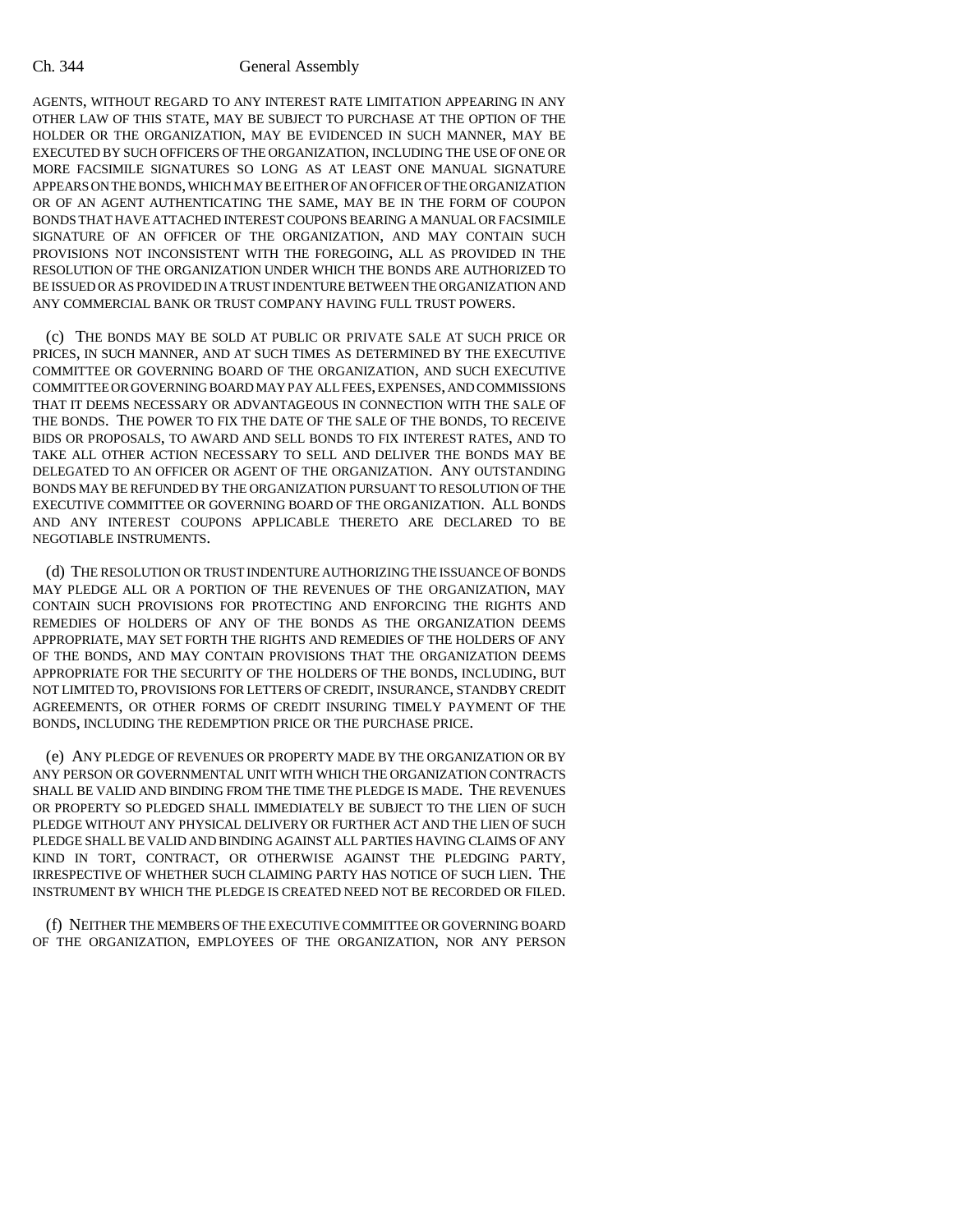## Ch. 344 General Assembly

AGENTS, WITHOUT REGARD TO ANY INTEREST RATE LIMITATION APPEARING IN ANY OTHER LAW OF THIS STATE, MAY BE SUBJECT TO PURCHASE AT THE OPTION OF THE HOLDER OR THE ORGANIZATION, MAY BE EVIDENCED IN SUCH MANNER, MAY BE EXECUTED BY SUCH OFFICERS OF THE ORGANIZATION, INCLUDING THE USE OF ONE OR MORE FACSIMILE SIGNATURES SO LONG AS AT LEAST ONE MANUAL SIGNATURE APPEARS ON THE BONDS, WHICH MAY BE EITHER OF AN OFFICER OF THE ORGANIZATION OR OF AN AGENT AUTHENTICATING THE SAME, MAY BE IN THE FORM OF COUPON BONDS THAT HAVE ATTACHED INTEREST COUPONS BEARING A MANUAL OR FACSIMILE SIGNATURE OF AN OFFICER OF THE ORGANIZATION, AND MAY CONTAIN SUCH PROVISIONS NOT INCONSISTENT WITH THE FOREGOING, ALL AS PROVIDED IN THE RESOLUTION OF THE ORGANIZATION UNDER WHICH THE BONDS ARE AUTHORIZED TO BE ISSUED OR AS PROVIDED IN A TRUST INDENTURE BETWEEN THE ORGANIZATION AND ANY COMMERCIAL BANK OR TRUST COMPANY HAVING FULL TRUST POWERS.

(c) THE BONDS MAY BE SOLD AT PUBLIC OR PRIVATE SALE AT SUCH PRICE OR PRICES, IN SUCH MANNER, AND AT SUCH TIMES AS DETERMINED BY THE EXECUTIVE COMMITTEE OR GOVERNING BOARD OF THE ORGANIZATION, AND SUCH EXECUTIVE COMMITTEE OR GOVERNING BOARD MAY PAY ALL FEES, EXPENSES, AND COMMISSIONS THAT IT DEEMS NECESSARY OR ADVANTAGEOUS IN CONNECTION WITH THE SALE OF THE BONDS. THE POWER TO FIX THE DATE OF THE SALE OF THE BONDS, TO RECEIVE BIDS OR PROPOSALS, TO AWARD AND SELL BONDS TO FIX INTEREST RATES, AND TO TAKE ALL OTHER ACTION NECESSARY TO SELL AND DELIVER THE BONDS MAY BE DELEGATED TO AN OFFICER OR AGENT OF THE ORGANIZATION. ANY OUTSTANDING BONDS MAY BE REFUNDED BY THE ORGANIZATION PURSUANT TO RESOLUTION OF THE EXECUTIVE COMMITTEE OR GOVERNING BOARD OF THE ORGANIZATION. ALL BONDS AND ANY INTEREST COUPONS APPLICABLE THERETO ARE DECLARED TO BE NEGOTIABLE INSTRUMENTS.

(d) THE RESOLUTION OR TRUST INDENTURE AUTHORIZING THE ISSUANCE OF BONDS MAY PLEDGE ALL OR A PORTION OF THE REVENUES OF THE ORGANIZATION, MAY CONTAIN SUCH PROVISIONS FOR PROTECTING AND ENFORCING THE RIGHTS AND REMEDIES OF HOLDERS OF ANY OF THE BONDS AS THE ORGANIZATION DEEMS APPROPRIATE, MAY SET FORTH THE RIGHTS AND REMEDIES OF THE HOLDERS OF ANY OF THE BONDS, AND MAY CONTAIN PROVISIONS THAT THE ORGANIZATION DEEMS APPROPRIATE FOR THE SECURITY OF THE HOLDERS OF THE BONDS, INCLUDING, BUT NOT LIMITED TO, PROVISIONS FOR LETTERS OF CREDIT, INSURANCE, STANDBY CREDIT AGREEMENTS, OR OTHER FORMS OF CREDIT INSURING TIMELY PAYMENT OF THE BONDS, INCLUDING THE REDEMPTION PRICE OR THE PURCHASE PRICE.

(e) ANY PLEDGE OF REVENUES OR PROPERTY MADE BY THE ORGANIZATION OR BY ANY PERSON OR GOVERNMENTAL UNIT WITH WHICH THE ORGANIZATION CONTRACTS SHALL BE VALID AND BINDING FROM THE TIME THE PLEDGE IS MADE. THE REVENUES OR PROPERTY SO PLEDGED SHALL IMMEDIATELY BE SUBJECT TO THE LIEN OF SUCH PLEDGE WITHOUT ANY PHYSICAL DELIVERY OR FURTHER ACT AND THE LIEN OF SUCH PLEDGE SHALL BE VALID AND BINDING AGAINST ALL PARTIES HAVING CLAIMS OF ANY KIND IN TORT, CONTRACT, OR OTHERWISE AGAINST THE PLEDGING PARTY, IRRESPECTIVE OF WHETHER SUCH CLAIMING PARTY HAS NOTICE OF SUCH LIEN. THE INSTRUMENT BY WHICH THE PLEDGE IS CREATED NEED NOT BE RECORDED OR FILED.

(f) NEITHER THE MEMBERS OF THE EXECUTIVE COMMITTEE OR GOVERNING BOARD OF THE ORGANIZATION, EMPLOYEES OF THE ORGANIZATION, NOR ANY PERSON